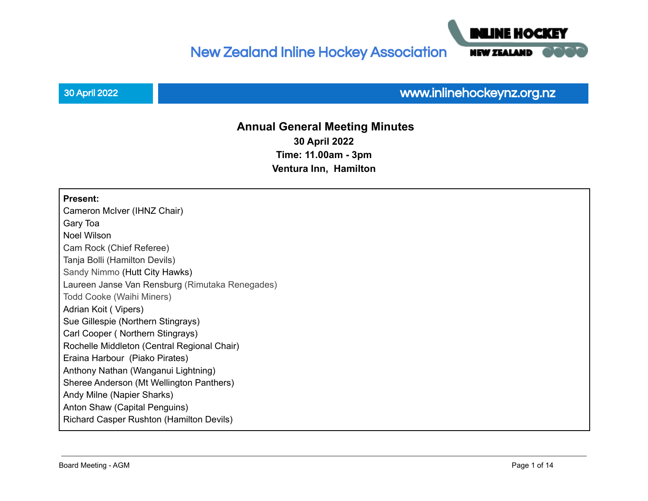New Zealand Inline Hockey Association



# 30 April 2022 www.inlinehockeynz.org.nz

**NEW ZEALAI** 

IF HOCI

# **Annual General Meeting Minutes 30 April 2022 Time: 11.00am - 3pm Ventura Inn, Hamilton**

#### **Present:**

Cameron McIver (IHNZ Chair) Gary Toa Noel Wilson Cam Rock (Chief Referee) Tanja Bolli (Hamilton Devils) Sandy Nimmo (Hutt City Hawks) Laureen Janse Van Rensburg (Rimutaka Renegades) Todd Cooke (Waihi Miners) Adrian Koit ( Vipers) Sue Gillespie (Northern Stingrays) Carl Cooper ( Northern Stingrays) Rochelle Middleton (Central Regional Chair) Eraina Harbour (Piako Pirates) Anthony Nathan (Wanganui Lightning) Sheree Anderson (Mt Wellington Panthers) Andy Milne (Napier Sharks) Anton Shaw (Capital Penguins) Richard Casper Rushton (Hamilton Devils)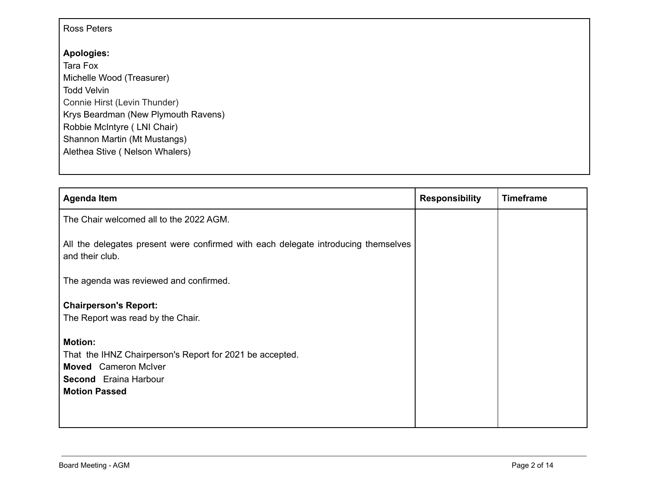### Ross Peters

## **Apologies:**

Tara Fox Michelle Wood (Treasurer) Todd Velvin Connie Hirst (Levin Thunder) Krys Beardman (New Plymouth Ravens) Robbie McIntyre ( LNI Chair) Shannon Martin (Mt Mustangs) Alethea Stive ( Nelson Whalers)

| <b>Agenda Item</b>                                                                                                                                                | <b>Responsibility</b> | <b>Timeframe</b> |
|-------------------------------------------------------------------------------------------------------------------------------------------------------------------|-----------------------|------------------|
| The Chair welcomed all to the 2022 AGM.                                                                                                                           |                       |                  |
| All the delegates present were confirmed with each delegate introducing themselves<br>and their club.                                                             |                       |                  |
| The agenda was reviewed and confirmed.                                                                                                                            |                       |                  |
| <b>Chairperson's Report:</b><br>The Report was read by the Chair.                                                                                                 |                       |                  |
| <b>Motion:</b><br>That the IHNZ Chairperson's Report for 2021 be accepted.<br><b>Moved</b> Cameron McIver<br><b>Second</b> Eraina Harbour<br><b>Motion Passed</b> |                       |                  |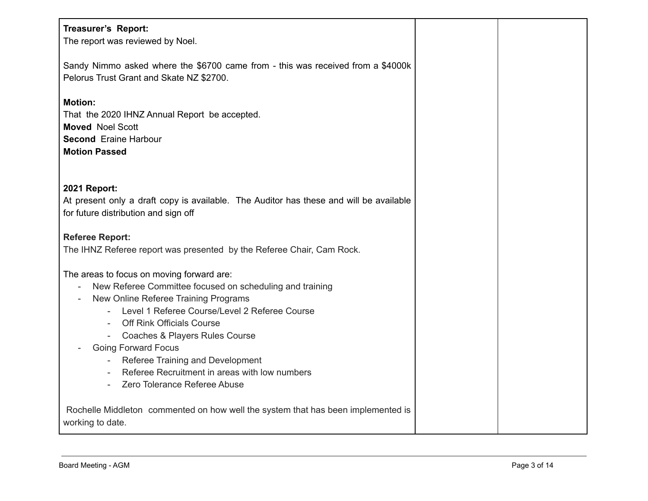| Treasurer's Report:<br>The report was reviewed by Noel.                                                                                                                                                                                                                                                                                                                                                                   |  |
|---------------------------------------------------------------------------------------------------------------------------------------------------------------------------------------------------------------------------------------------------------------------------------------------------------------------------------------------------------------------------------------------------------------------------|--|
| Sandy Nimmo asked where the \$6700 came from - this was received from a \$4000k<br>Pelorus Trust Grant and Skate NZ \$2700.                                                                                                                                                                                                                                                                                               |  |
| <b>Motion:</b><br>That the 2020 IHNZ Annual Report be accepted.<br><b>Moved Noel Scott</b><br><b>Second Eraine Harbour</b><br><b>Motion Passed</b>                                                                                                                                                                                                                                                                        |  |
| 2021 Report:<br>At present only a draft copy is available. The Auditor has these and will be available<br>for future distribution and sign off                                                                                                                                                                                                                                                                            |  |
| <b>Referee Report:</b><br>The IHNZ Referee report was presented by the Referee Chair, Cam Rock.                                                                                                                                                                                                                                                                                                                           |  |
| The areas to focus on moving forward are:<br>New Referee Committee focused on scheduling and training<br>New Online Referee Training Programs<br>Level 1 Referee Course/Level 2 Referee Course<br><b>Off Rink Officials Course</b><br>- Coaches & Players Rules Course<br><b>Going Forward Focus</b><br>Referee Training and Development<br>Referee Recruitment in areas with low numbers<br>Zero Tolerance Referee Abuse |  |
| Rochelle Middleton commented on how well the system that has been implemented is<br>working to date.                                                                                                                                                                                                                                                                                                                      |  |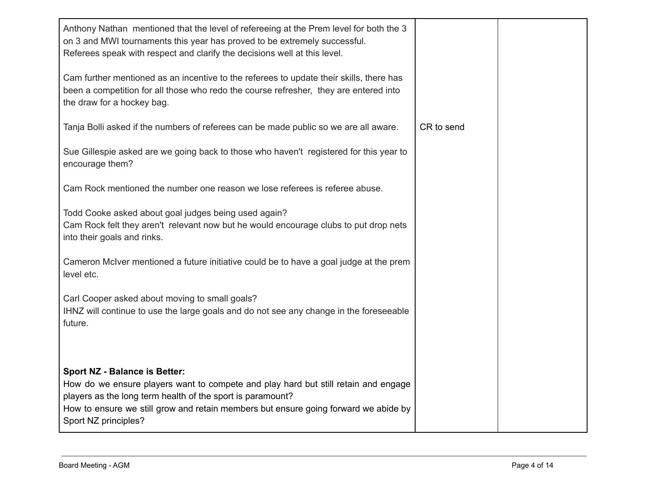| Anthony Nathan mentioned that the level of refereeing at the Prem level for both the 3<br>on 3 and MWI tournaments this year has proved to be extremely successful.<br>Referees speak with respect and clarify the decisions well at this level.                                |            |  |
|---------------------------------------------------------------------------------------------------------------------------------------------------------------------------------------------------------------------------------------------------------------------------------|------------|--|
| Cam further mentioned as an incentive to the referees to update their skills, there has<br>been a competition for all those who redo the course refresher, they are entered into<br>the draw for a hockey bag.                                                                  |            |  |
| Tanja Bolli asked if the numbers of referees can be made public so we are all aware.                                                                                                                                                                                            | CR to send |  |
| Sue Gillespie asked are we going back to those who haven't registered for this year to<br>encourage them?                                                                                                                                                                       |            |  |
| Cam Rock mentioned the number one reason we lose referees is referee abuse.                                                                                                                                                                                                     |            |  |
| Todd Cooke asked about goal judges being used again?<br>Cam Rock felt they aren't relevant now but he would encourage clubs to put drop nets<br>into their goals and rinks.                                                                                                     |            |  |
| Cameron McIver mentioned a future initiative could be to have a goal judge at the prem<br>level etc.                                                                                                                                                                            |            |  |
| Carl Cooper asked about moving to small goals?<br>IHNZ will continue to use the large goals and do not see any change in the foreseeable<br>future.                                                                                                                             |            |  |
| <b>Sport NZ - Balance is Better:</b><br>How do we ensure players want to compete and play hard but still retain and engage<br>players as the long term health of the sport is paramount?<br>How to ensure we still grow and retain members but ensure going forward we abide by |            |  |
| Sport NZ principles?                                                                                                                                                                                                                                                            |            |  |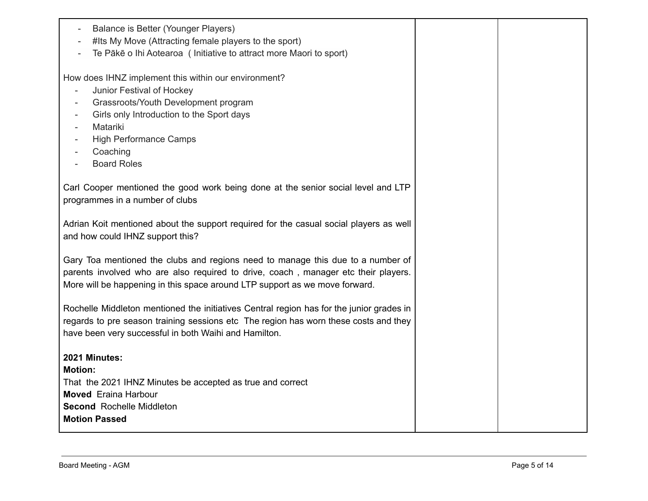| Balance is Better (Younger Players)<br>$\sim$<br>#Its My Move (Attracting female players to the sport)<br>Te Pākē o Ihi Aotearoa ( Initiative to attract more Maori to sport)                                                                                                                                                                                                                                                           |  |
|-----------------------------------------------------------------------------------------------------------------------------------------------------------------------------------------------------------------------------------------------------------------------------------------------------------------------------------------------------------------------------------------------------------------------------------------|--|
| How does IHNZ implement this within our environment?<br>Junior Festival of Hockey<br>$\overline{\phantom{a}}$<br>Grassroots/Youth Development program<br>$\overline{\phantom{a}}$<br>Girls only Introduction to the Sport days<br>$\sim$<br>Matariki<br>$\overline{\phantom{a}}$<br><b>High Performance Camps</b><br>$\overline{\phantom{a}}$<br>Coaching<br>$\overline{\phantom{a}}$<br><b>Board Roles</b><br>$\overline{\phantom{a}}$ |  |
| Carl Cooper mentioned the good work being done at the senior social level and LTP<br>programmes in a number of clubs                                                                                                                                                                                                                                                                                                                    |  |
| Adrian Koit mentioned about the support required for the casual social players as well<br>and how could IHNZ support this?                                                                                                                                                                                                                                                                                                              |  |
| Gary Toa mentioned the clubs and regions need to manage this due to a number of<br>parents involved who are also required to drive, coach, manager etc their players.<br>More will be happening in this space around LTP support as we move forward.                                                                                                                                                                                    |  |
| Rochelle Middleton mentioned the initiatives Central region has for the junior grades in<br>regards to pre season training sessions etc The region has worn these costs and they<br>have been very successful in both Waihi and Hamilton.                                                                                                                                                                                               |  |
| 2021 Minutes:<br><b>Motion:</b><br>That the 2021 IHNZ Minutes be accepted as true and correct<br><b>Moved</b> Eraina Harbour<br><b>Second Rochelle Middleton</b><br><b>Motion Passed</b>                                                                                                                                                                                                                                                |  |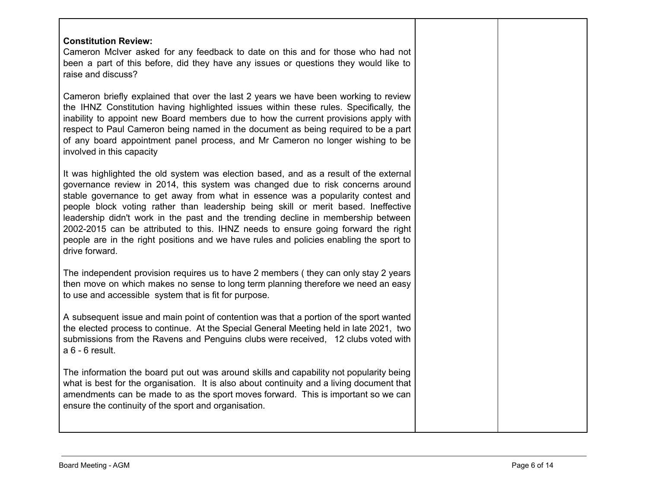| <b>Constitution Review:</b><br>Cameron McIver asked for any feedback to date on this and for those who had not<br>been a part of this before, did they have any issues or questions they would like to<br>raise and discuss?                                                                                                                                                                                                                                                                                                                                                                                                           |  |
|----------------------------------------------------------------------------------------------------------------------------------------------------------------------------------------------------------------------------------------------------------------------------------------------------------------------------------------------------------------------------------------------------------------------------------------------------------------------------------------------------------------------------------------------------------------------------------------------------------------------------------------|--|
| Cameron briefly explained that over the last 2 years we have been working to review<br>the IHNZ Constitution having highlighted issues within these rules. Specifically, the<br>inability to appoint new Board members due to how the current provisions apply with<br>respect to Paul Cameron being named in the document as being required to be a part<br>of any board appointment panel process, and Mr Cameron no longer wishing to be<br>involved in this capacity                                                                                                                                                               |  |
| It was highlighted the old system was election based, and as a result of the external<br>governance review in 2014, this system was changed due to risk concerns around<br>stable governance to get away from what in essence was a popularity contest and<br>people block voting rather than leadership being skill or merit based. Ineffective<br>leadership didn't work in the past and the trending decline in membership between<br>2002-2015 can be attributed to this. IHNZ needs to ensure going forward the right<br>people are in the right positions and we have rules and policies enabling the sport to<br>drive forward. |  |
| The independent provision requires us to have 2 members (they can only stay 2 years<br>then move on which makes no sense to long term planning therefore we need an easy<br>to use and accessible system that is fit for purpose.                                                                                                                                                                                                                                                                                                                                                                                                      |  |
| A subsequent issue and main point of contention was that a portion of the sport wanted<br>the elected process to continue. At the Special General Meeting held in late 2021, two<br>submissions from the Ravens and Penguins clubs were received, 12 clubs voted with<br>a 6 - 6 result.                                                                                                                                                                                                                                                                                                                                               |  |
| The information the board put out was around skills and capability not popularity being<br>what is best for the organisation. It is also about continuity and a living document that<br>amendments can be made to as the sport moves forward. This is important so we can<br>ensure the continuity of the sport and organisation.                                                                                                                                                                                                                                                                                                      |  |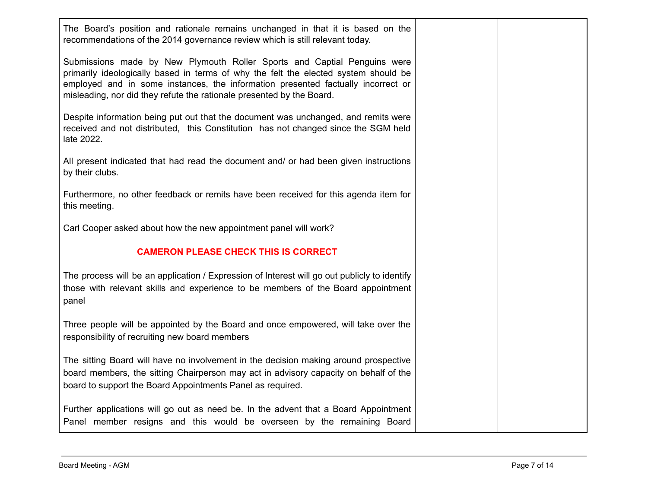| The Board's position and rationale remains unchanged in that it is based on the<br>recommendations of the 2014 governance review which is still relevant today.                                                                                                                                                              |  |
|------------------------------------------------------------------------------------------------------------------------------------------------------------------------------------------------------------------------------------------------------------------------------------------------------------------------------|--|
| Submissions made by New Plymouth Roller Sports and Captial Penguins were<br>primarily ideologically based in terms of why the felt the elected system should be<br>employed and in some instances, the information presented factually incorrect or<br>misleading, nor did they refute the rationale presented by the Board. |  |
| Despite information being put out that the document was unchanged, and remits were<br>received and not distributed, this Constitution has not changed since the SGM held<br>late 2022.                                                                                                                                       |  |
| All present indicated that had read the document and/ or had been given instructions<br>by their clubs.                                                                                                                                                                                                                      |  |
| Furthermore, no other feedback or remits have been received for this agenda item for<br>this meeting.                                                                                                                                                                                                                        |  |
| Carl Cooper asked about how the new appointment panel will work?                                                                                                                                                                                                                                                             |  |
| <b>CAMERON PLEASE CHECK THIS IS CORRECT</b>                                                                                                                                                                                                                                                                                  |  |
| The process will be an application / Expression of Interest will go out publicly to identify<br>those with relevant skills and experience to be members of the Board appointment<br>panel                                                                                                                                    |  |
| Three people will be appointed by the Board and once empowered, will take over the<br>responsibility of recruiting new board members                                                                                                                                                                                         |  |
| The sitting Board will have no involvement in the decision making around prospective<br>board members, the sitting Chairperson may act in advisory capacity on behalf of the<br>board to support the Board Appointments Panel as required.                                                                                   |  |
| Further applications will go out as need be. In the advent that a Board Appointment<br>Panel member resigns and this would be overseen by the remaining Board                                                                                                                                                                |  |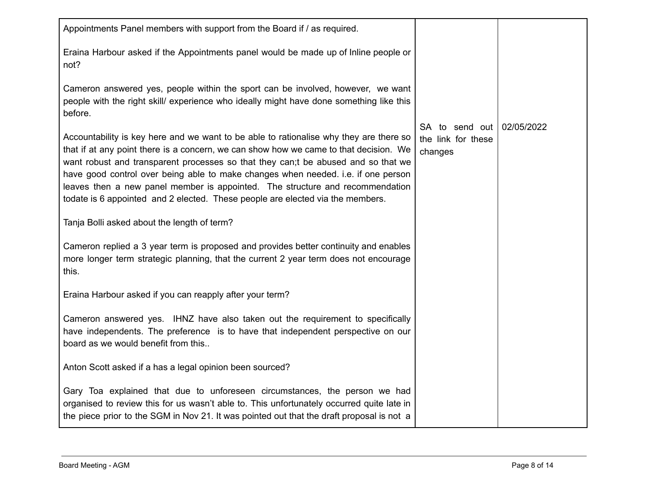| Appointments Panel members with support from the Board if / as required.                                                                                                                                                                                                                                                                                                                                                                                                                                                     |                                                 |            |
|------------------------------------------------------------------------------------------------------------------------------------------------------------------------------------------------------------------------------------------------------------------------------------------------------------------------------------------------------------------------------------------------------------------------------------------------------------------------------------------------------------------------------|-------------------------------------------------|------------|
| Eraina Harbour asked if the Appointments panel would be made up of Inline people or<br>not?                                                                                                                                                                                                                                                                                                                                                                                                                                  |                                                 |            |
| Cameron answered yes, people within the sport can be involved, however, we want<br>people with the right skill/ experience who ideally might have done something like this<br>before.                                                                                                                                                                                                                                                                                                                                        |                                                 |            |
| Accountability is key here and we want to be able to rationalise why they are there so<br>that if at any point there is a concern, we can show how we came to that decision. We<br>want robust and transparent processes so that they can;t be abused and so that we<br>have good control over being able to make changes when needed. i.e. if one person<br>leaves then a new panel member is appointed. The structure and recommendation<br>todate is 6 appointed and 2 elected. These people are elected via the members. | SA to send out<br>the link for these<br>changes | 02/05/2022 |
| Tanja Bolli asked about the length of term?                                                                                                                                                                                                                                                                                                                                                                                                                                                                                  |                                                 |            |
| Cameron replied a 3 year term is proposed and provides better continuity and enables<br>more longer term strategic planning, that the current 2 year term does not encourage<br>this.                                                                                                                                                                                                                                                                                                                                        |                                                 |            |
| Eraina Harbour asked if you can reapply after your term?                                                                                                                                                                                                                                                                                                                                                                                                                                                                     |                                                 |            |
| Cameron answered yes. IHNZ have also taken out the requirement to specifically<br>have independents. The preference is to have that independent perspective on our<br>board as we would benefit from this                                                                                                                                                                                                                                                                                                                    |                                                 |            |
| Anton Scott asked if a has a legal opinion been sourced?                                                                                                                                                                                                                                                                                                                                                                                                                                                                     |                                                 |            |
| Gary Toa explained that due to unforeseen circumstances, the person we had<br>organised to review this for us wasn't able to. This unfortunately occurred quite late in<br>the piece prior to the SGM in Nov 21. It was pointed out that the draft proposal is not a                                                                                                                                                                                                                                                         |                                                 |            |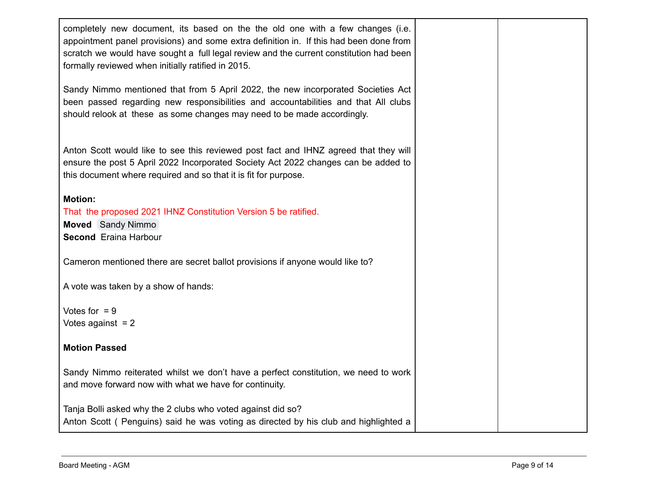| completely new document, its based on the the old one with a few changes (i.e.<br>appointment panel provisions) and some extra definition in. If this had been done from<br>scratch we would have sought a full legal review and the current constitution had been<br>formally reviewed when initially ratified in 2015. |  |
|--------------------------------------------------------------------------------------------------------------------------------------------------------------------------------------------------------------------------------------------------------------------------------------------------------------------------|--|
| Sandy Nimmo mentioned that from 5 April 2022, the new incorporated Societies Act<br>been passed regarding new responsibilities and accountabilities and that All clubs<br>should relook at these as some changes may need to be made accordingly.                                                                        |  |
| Anton Scott would like to see this reviewed post fact and IHNZ agreed that they will<br>ensure the post 5 April 2022 Incorporated Society Act 2022 changes can be added to<br>this document where required and so that it is fit for purpose.                                                                            |  |
| <b>Motion:</b><br>That the proposed 2021 IHNZ Constitution Version 5 be ratified.<br><b>Moved</b> Sandy Nimmo<br><b>Second</b> Eraina Harbour                                                                                                                                                                            |  |
| Cameron mentioned there are secret ballot provisions if anyone would like to?                                                                                                                                                                                                                                            |  |
| A vote was taken by a show of hands:                                                                                                                                                                                                                                                                                     |  |
| Votes for $= 9$<br>Votes against $= 2$                                                                                                                                                                                                                                                                                   |  |
| <b>Motion Passed</b>                                                                                                                                                                                                                                                                                                     |  |
| Sandy Nimmo reiterated whilst we don't have a perfect constitution, we need to work<br>and move forward now with what we have for continuity.                                                                                                                                                                            |  |
| Tanja Bolli asked why the 2 clubs who voted against did so?<br>Anton Scott (Penguins) said he was voting as directed by his club and highlighted a                                                                                                                                                                       |  |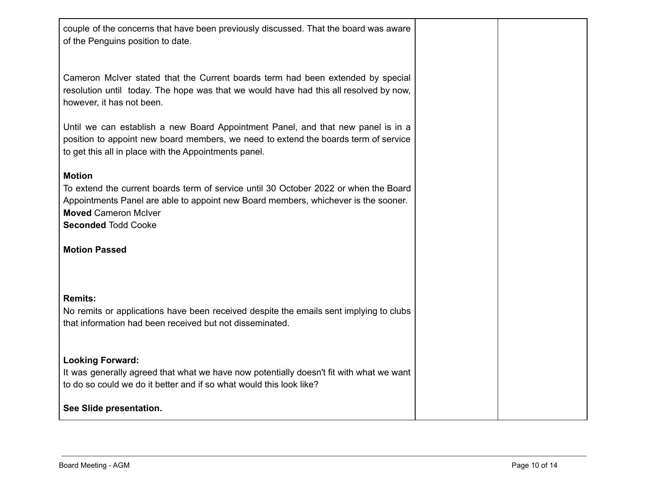| couple of the concerns that have been previously discussed. That the board was aware<br>of the Penguins position to date.                                                                                                                                |  |
|----------------------------------------------------------------------------------------------------------------------------------------------------------------------------------------------------------------------------------------------------------|--|
| Cameron McIver stated that the Current boards term had been extended by special<br>resolution until today. The hope was that we would have had this all resolved by now,<br>however, it has not been.                                                    |  |
| Until we can establish a new Board Appointment Panel, and that new panel is in a<br>position to appoint new board members, we need to extend the boards term of service<br>to get this all in place with the Appointments panel.                         |  |
| <b>Motion</b><br>To extend the current boards term of service until 30 October 2022 or when the Board<br>Appointments Panel are able to appoint new Board members, whichever is the sooner.<br><b>Moved Cameron McIver</b><br><b>Seconded Todd Cooke</b> |  |
| <b>Motion Passed</b>                                                                                                                                                                                                                                     |  |
| <b>Remits:</b><br>No remits or applications have been received despite the emails sent implying to clubs<br>that information had been received but not disseminated.                                                                                     |  |
| <b>Looking Forward:</b><br>It was generally agreed that what we have now potentially doesn't fit with what we want<br>to do so could we do it better and if so what would this look like?                                                                |  |
| See Slide presentation.                                                                                                                                                                                                                                  |  |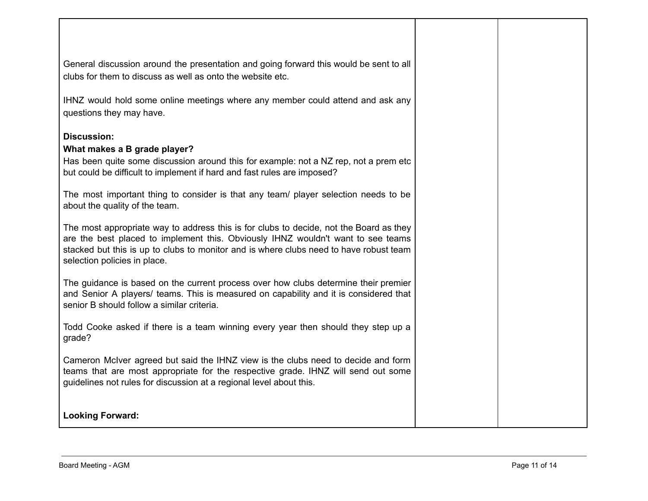| General discussion around the presentation and going forward this would be sent to all<br>clubs for them to discuss as well as onto the website etc.                                                                                                                                                 |  |
|------------------------------------------------------------------------------------------------------------------------------------------------------------------------------------------------------------------------------------------------------------------------------------------------------|--|
| IHNZ would hold some online meetings where any member could attend and ask any<br>questions they may have.                                                                                                                                                                                           |  |
| <b>Discussion:</b>                                                                                                                                                                                                                                                                                   |  |
| What makes a B grade player?                                                                                                                                                                                                                                                                         |  |
| Has been quite some discussion around this for example: not a NZ rep, not a prem etc<br>but could be difficult to implement if hard and fast rules are imposed?                                                                                                                                      |  |
| The most important thing to consider is that any team/ player selection needs to be<br>about the quality of the team.                                                                                                                                                                                |  |
| The most appropriate way to address this is for clubs to decide, not the Board as they<br>are the best placed to implement this. Obviously IHNZ wouldn't want to see teams<br>stacked but this is up to clubs to monitor and is where clubs need to have robust team<br>selection policies in place. |  |
| The guidance is based on the current process over how clubs determine their premier<br>and Senior A players/ teams. This is measured on capability and it is considered that<br>senior B should follow a similar criteria.                                                                           |  |
| Todd Cooke asked if there is a team winning every year then should they step up a<br>grade?                                                                                                                                                                                                          |  |
| Cameron McIver agreed but said the IHNZ view is the clubs need to decide and form<br>teams that are most appropriate for the respective grade. IHNZ will send out some<br>guidelines not rules for discussion at a regional level about this.                                                        |  |
| <b>Looking Forward:</b>                                                                                                                                                                                                                                                                              |  |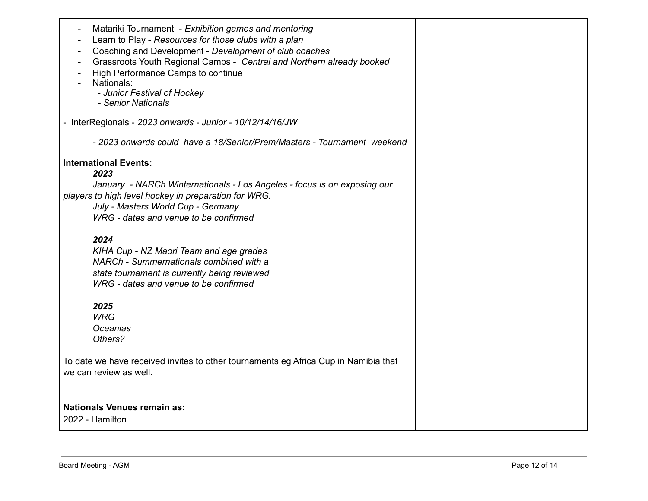| Matariki Tournament - Exhibition games and mentoring<br>$\overline{\phantom{a}}$<br>Learn to Play - Resources for those clubs with a plan<br>Coaching and Development - Development of club coaches<br>Grassroots Youth Regional Camps - Central and Northern already booked<br>High Performance Camps to continue<br>Nationals:<br>- Junior Festival of Hockey<br>- Senior Nationals |  |
|---------------------------------------------------------------------------------------------------------------------------------------------------------------------------------------------------------------------------------------------------------------------------------------------------------------------------------------------------------------------------------------|--|
| - InterRegionals - 2023 onwards - Junior - 10/12/14/16/JW                                                                                                                                                                                                                                                                                                                             |  |
| - 2023 onwards could have a 18/Senior/Prem/Masters - Tournament weekend                                                                                                                                                                                                                                                                                                               |  |
| <b>International Events:</b>                                                                                                                                                                                                                                                                                                                                                          |  |
| 2023                                                                                                                                                                                                                                                                                                                                                                                  |  |
| January - NARCh Winternationals - Los Angeles - focus is on exposing our                                                                                                                                                                                                                                                                                                              |  |
| players to high level hockey in preparation for WRG.<br>July - Masters World Cup - Germany                                                                                                                                                                                                                                                                                            |  |
| WRG - dates and venue to be confirmed                                                                                                                                                                                                                                                                                                                                                 |  |
|                                                                                                                                                                                                                                                                                                                                                                                       |  |
| 2024                                                                                                                                                                                                                                                                                                                                                                                  |  |
| KIHA Cup - NZ Maori Team and age grades                                                                                                                                                                                                                                                                                                                                               |  |
| NARCh - Summernationals combined with a                                                                                                                                                                                                                                                                                                                                               |  |
| state tournament is currently being reviewed                                                                                                                                                                                                                                                                                                                                          |  |
| WRG - dates and venue to be confirmed                                                                                                                                                                                                                                                                                                                                                 |  |
|                                                                                                                                                                                                                                                                                                                                                                                       |  |
| 2025<br><b>WRG</b>                                                                                                                                                                                                                                                                                                                                                                    |  |
| Oceanias                                                                                                                                                                                                                                                                                                                                                                              |  |
| Others?                                                                                                                                                                                                                                                                                                                                                                               |  |
|                                                                                                                                                                                                                                                                                                                                                                                       |  |
| To date we have received invites to other tournaments eg Africa Cup in Namibia that<br>we can review as well.                                                                                                                                                                                                                                                                         |  |
|                                                                                                                                                                                                                                                                                                                                                                                       |  |
| <b>Nationals Venues remain as:</b>                                                                                                                                                                                                                                                                                                                                                    |  |
| 2022 - Hamilton                                                                                                                                                                                                                                                                                                                                                                       |  |
|                                                                                                                                                                                                                                                                                                                                                                                       |  |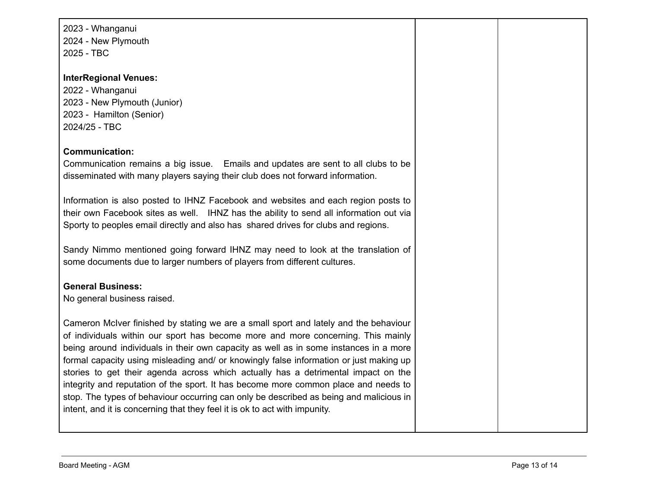2023 - Whanganui 2024 - New Plymouth 2025 - TBC

#### **InterRegional Venues:**

 - Whanganui - New Plymouth (Junior) - Hamilton (Senior) 2024/25 - TBC

#### **Communication:**

Communication remains a big issue. Emails and updates are sent to all clubs to be disseminated with many players saying their club does not forward information.

Information is also posted to IHNZ Facebook and websites and each region posts to their own Facebook sites as well. IHNZ has the ability to send all information out via Sporty to peoples email directly and also has shared drives for clubs and regions.

Sandy Nimmo mentioned going forward IHNZ may need to look at the translation of some documents due to larger numbers of players from different cultures.

### **General Business:**

No general business raised.

Cameron McIver finished by stating we are a small sport and lately and the behaviour of individuals within our sport has become more and more concerning. This mainly being around individuals in their own capacity as well as in some instances in a more formal capacity using misleading and/ or knowingly false information or just making up stories to get their agenda across which actually has a detrimental impact on the integrity and reputation of the sport. It has become more common place and needs to stop. The types of behaviour occurring can only be described as being and malicious in intent, and it is concerning that they feel it is ok to act with impunity.